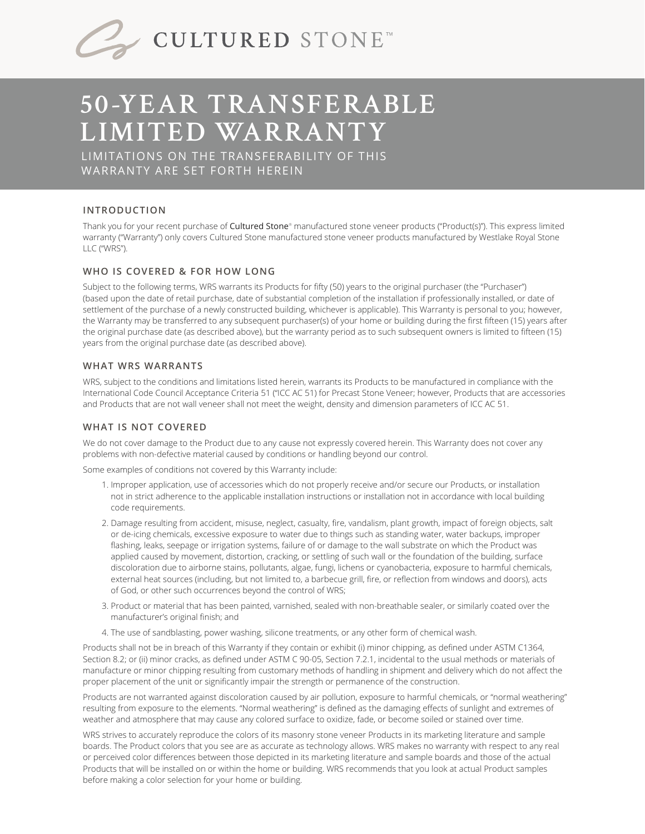

# **50**-**YEAR TRANSFERABLE LIMITED WARRANTY**

LIMITATIONS ON THE TRANSFERABILITY OF THIS WARRANTY ARE SET FORTH HEREIN

## **INTRODUCTION**

Thank you for your recent purchase of **Cultured Stone®** manufactured stone veneer products ("Product(s)"). This express limited warranty ("Warranty") only covers Cultured Stone manufactured stone veneer products manufactured by Westlake Royal Stone LLC ("WRS").

## **WHO IS COVERED & FOR HOW LONG**

Subject to the following terms, WRS warrants its Products for fifty (50) years to the original purchaser (the "Purchaser") (based upon the date of retail purchase, date of substantial completion of the installation if professionally installed, or date of settlement of the purchase of a newly constructed building, whichever is applicable). This Warranty is personal to you; however, the Warranty may be transferred to any subsequent purchaser(s) of your home or building during the first fifteen (15) years after the original purchase date (as described above), but the warranty period as to such subsequent owners is limited to fifteen (15) years from the original purchase date (as described above).

### **WHAT WRS WARRANTS**

WRS, subject to the conditions and limitations listed herein, warrants its Products to be manufactured in compliance with the International Code Council Acceptance Criteria 51 ("ICC AC 51) for Precast Stone Veneer; however, Products that are accessories and Products that are not wall veneer shall not meet the weight, density and dimension parameters of ICC AC 51.

#### **WHAT IS NOT COVERED**

We do not cover damage to the Product due to any cause not expressly covered herein. This Warranty does not cover any problems with non-defective material caused by conditions or handling beyond our control.

Some examples of conditions not covered by this Warranty include:

- 1. Improper application, use of accessories which do not properly receive and/or secure our Products, or installation not in strict adherence to the applicable installation instructions or installation not in accordance with local building code requirements.
- 2. Damage resulting from accident, misuse, neglect, casualty, fire, vandalism, plant growth, impact of foreign objects, salt or de-icing chemicals, excessive exposure to water due to things such as standing water, water backups, improper flashing, leaks, seepage or irrigation systems, failure of or damage to the wall substrate on which the Product was applied caused by movement, distortion, cracking, or settling of such wall or the foundation of the building, surface discoloration due to airborne stains, pollutants, algae, fungi, lichens or cyanobacteria, exposure to harmful chemicals, external heat sources (including, but not limited to, a barbecue grill, fire, or reflection from windows and doors), acts of God, or other such occurrences beyond the control of WRS;
- 3. Product or material that has been painted, varnished, sealed with non-breathable sealer, or similarly coated over the manufacturer's original finish; and
- 4. The use of sandblasting, power washing, silicone treatments, or any other form of chemical wash.

Products shall not be in breach of this Warranty if they contain or exhibit (i) minor chipping, as defined under ASTM C1364, Section 8.2; or (ii) minor cracks, as defined under ASTM C 90-05, Section 7.2.1, incidental to the usual methods or materials of manufacture or minor chipping resulting from customary methods of handling in shipment and delivery which do not affect the proper placement of the unit or significantly impair the strength or permanence of the construction.

Products are not warranted against discoloration caused by air pollution, exposure to harmful chemicals, or "normal weathering" resulting from exposure to the elements. "Normal weathering" is defined as the damaging effects of sunlight and extremes of weather and atmosphere that may cause any colored surface to oxidize, fade, or become soiled or stained over time.

WRS strives to accurately reproduce the colors of its masonry stone veneer Products in its marketing literature and sample boards. The Product colors that you see are as accurate as technology allows. WRS makes no warranty with respect to any real or perceived color differences between those depicted in its marketing literature and sample boards and those of the actual Products that will be installed on or within the home or building. WRS recommends that you look at actual Product samples before making a color selection for your home or building.